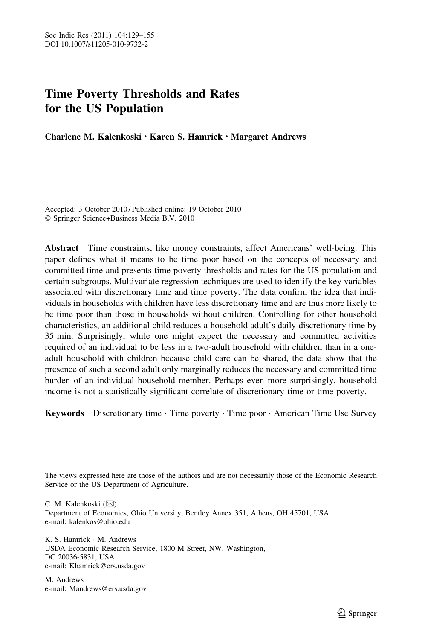# Time Poverty Thresholds and Rates for the US Population

Charlene M. Kalenkoski • Karen S. Hamrick • Margaret Andrews

Accepted: 3 October 2010 / Published online: 19 October 2010 © Springer Science+Business Media B.V. 2010

Abstract Time constraints, like money constraints, affect Americans' well-being. This paper defines what it means to be time poor based on the concepts of necessary and committed time and presents time poverty thresholds and rates for the US population and certain subgroups. Multivariate regression techniques are used to identify the key variables associated with discretionary time and time poverty. The data confirm the idea that individuals in households with children have less discretionary time and are thus more likely to be time poor than those in households without children. Controlling for other household characteristics, an additional child reduces a household adult's daily discretionary time by 35 min. Surprisingly, while one might expect the necessary and committed activities required of an individual to be less in a two-adult household with children than in a oneadult household with children because child care can be shared, the data show that the presence of such a second adult only marginally reduces the necessary and committed time burden of an individual household member. Perhaps even more surprisingly, household income is not a statistically significant correlate of discretionary time or time poverty.

Keywords Discretionary time · Time poverty · Time poor · American Time Use Survey

C. M. Kalenkoski (⊠)

K. S. Hamrick - M. Andrews USDA Economic Research Service, 1800 M Street, NW, Washington, DC 20036-5831, USA e-mail: Khamrick@ers.usda.gov

M. Andrews e-mail: Mandrews@ers.usda.gov

The views expressed here are those of the authors and are not necessarily those of the Economic Research Service or the US Department of Agriculture.

Department of Economics, Ohio University, Bentley Annex 351, Athens, OH 45701, USA e-mail: kalenkos@ohio.edu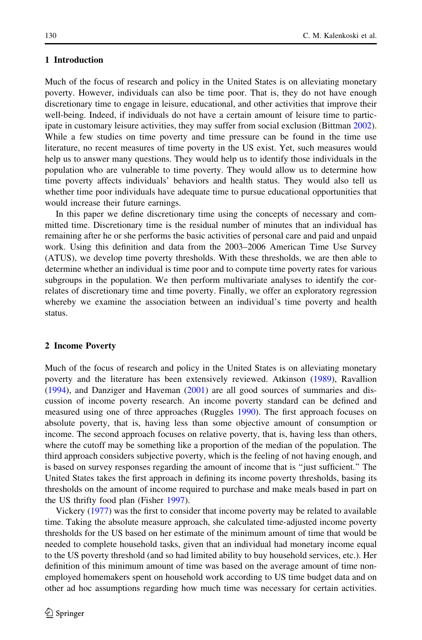#### 1 Introduction

Much of the focus of research and policy in the United States is on alleviating monetary poverty. However, individuals can also be time poor. That is, they do not have enough discretionary time to engage in leisure, educational, and other activities that improve their well-being. Indeed, if individuals do not have a certain amount of leisure time to partic-ipate in customary leisure activities, they may suffer from social exclusion (Bittman [2002](#page-26-0)). While a few studies on time poverty and time pressure can be found in the time use literature, no recent measures of time poverty in the US exist. Yet, such measures would help us to answer many questions. They would help us to identify those individuals in the population who are vulnerable to time poverty. They would allow us to determine how time poverty affects individuals' behaviors and health status. They would also tell us whether time poor individuals have adequate time to pursue educational opportunities that would increase their future earnings.

In this paper we define discretionary time using the concepts of necessary and committed time. Discretionary time is the residual number of minutes that an individual has remaining after he or she performs the basic activities of personal care and paid and unpaid work. Using this definition and data from the 2003–2006 American Time Use Survey (ATUS), we develop time poverty thresholds. With these thresholds, we are then able to determine whether an individual is time poor and to compute time poverty rates for various subgroups in the population. We then perform multivariate analyses to identify the correlates of discretionary time and time poverty. Finally, we offer an exploratory regression whereby we examine the association between an individual's time poverty and health status.

#### 2 Income Poverty

Much of the focus of research and policy in the United States is on alleviating monetary poverty and the literature has been extensively reviewed. Atkinson [\(1989](#page-26-0)), Ravallion ([1994\)](#page-26-0), and Danziger and Haveman ([2001\)](#page-26-0) are all good sources of summaries and discussion of income poverty research. An income poverty standard can be defined and measured using one of three approaches (Ruggles [1990](#page-26-0)). The first approach focuses on absolute poverty, that is, having less than some objective amount of consumption or income. The second approach focuses on relative poverty, that is, having less than others, where the cutoff may be something like a proportion of the median of the population. The third approach considers subjective poverty, which is the feeling of not having enough, and is based on survey responses regarding the amount of income that is ''just sufficient.'' The United States takes the first approach in defining its income poverty thresholds, basing its thresholds on the amount of income required to purchase and make meals based in part on the US thrifty food plan (Fisher [1997\)](#page-26-0).

Vickery [\(1977](#page-26-0)) was the first to consider that income poverty may be related to available time. Taking the absolute measure approach, she calculated time-adjusted income poverty thresholds for the US based on her estimate of the minimum amount of time that would be needed to complete household tasks, given that an individual had monetary income equal to the US poverty threshold (and so had limited ability to buy household services, etc.). Her definition of this minimum amount of time was based on the average amount of time nonemployed homemakers spent on household work according to US time budget data and on other ad hoc assumptions regarding how much time was necessary for certain activities.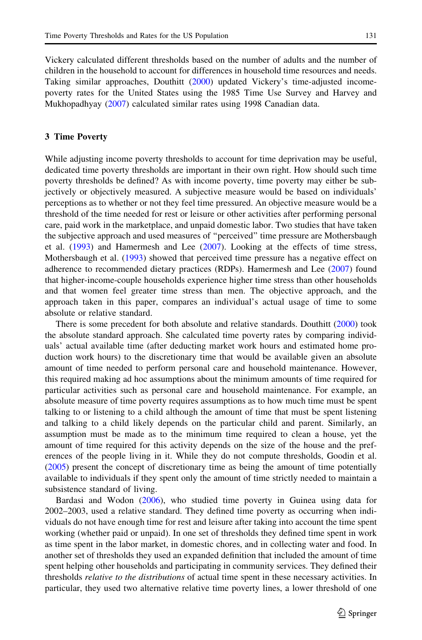Vickery calculated different thresholds based on the number of adults and the number of children in the household to account for differences in household time resources and needs. Taking similar approaches, Douthitt [\(2000](#page-26-0)) updated Vickery's time-adjusted incomepoverty rates for the United States using the 1985 Time Use Survey and Harvey and Mukhopadhyay [\(2007](#page-26-0)) calculated similar rates using 1998 Canadian data.

#### 3 Time Poverty

While adjusting income poverty thresholds to account for time deprivation may be useful, dedicated time poverty thresholds are important in their own right. How should such time poverty thresholds be defined? As with income poverty, time poverty may either be subjectively or objectively measured. A subjective measure would be based on individuals' perceptions as to whether or not they feel time pressured. An objective measure would be a threshold of the time needed for rest or leisure or other activities after performing personal care, paid work in the marketplace, and unpaid domestic labor. Two studies that have taken the subjective approach and used measures of ''perceived'' time pressure are Mothersbaugh et al. [\(1993](#page-26-0)) and Hamermesh and Lee [\(2007](#page-26-0)). Looking at the effects of time stress, Mothersbaugh et al. [\(1993](#page-26-0)) showed that perceived time pressure has a negative effect on adherence to recommended dietary practices (RDPs). Hamermesh and Lee [\(2007\)](#page-26-0) found that higher-income-couple households experience higher time stress than other households and that women feel greater time stress than men. The objective approach, and the approach taken in this paper, compares an individual's actual usage of time to some absolute or relative standard.

There is some precedent for both absolute and relative standards. Douthitt ([2000\)](#page-26-0) took the absolute standard approach. She calculated time poverty rates by comparing individuals' actual available time (after deducting market work hours and estimated home production work hours) to the discretionary time that would be available given an absolute amount of time needed to perform personal care and household maintenance. However, this required making ad hoc assumptions about the minimum amounts of time required for particular activities such as personal care and household maintenance. For example, an absolute measure of time poverty requires assumptions as to how much time must be spent talking to or listening to a child although the amount of time that must be spent listening and talking to a child likely depends on the particular child and parent. Similarly, an assumption must be made as to the minimum time required to clean a house, yet the amount of time required for this activity depends on the size of the house and the preferences of the people living in it. While they do not compute thresholds, Goodin et al. ([2005\)](#page-26-0) present the concept of discretionary time as being the amount of time potentially available to individuals if they spent only the amount of time strictly needed to maintain a subsistence standard of living.

Bardasi and Wodon ([2006\)](#page-26-0), who studied time poverty in Guinea using data for 2002–2003, used a relative standard. They defined time poverty as occurring when individuals do not have enough time for rest and leisure after taking into account the time spent working (whether paid or unpaid). In one set of thresholds they defined time spent in work as time spent in the labor market, in domestic chores, and in collecting water and food. In another set of thresholds they used an expanded definition that included the amount of time spent helping other households and participating in community services. They defined their thresholds *relative to the distributions* of actual time spent in these necessary activities. In particular, they used two alternative relative time poverty lines, a lower threshold of one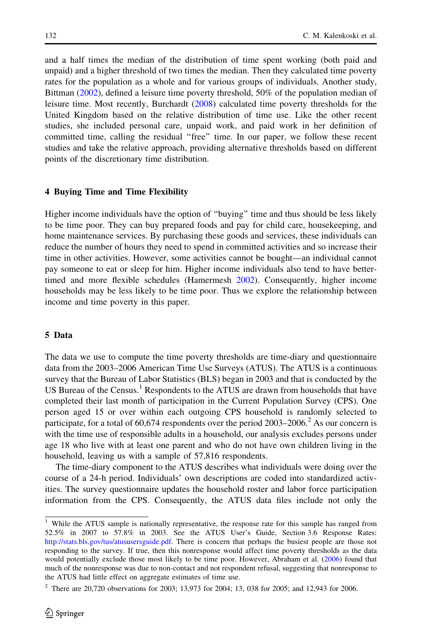and a half times the median of the distribution of time spent working (both paid and unpaid) and a higher threshold of two times the median. Then they calculated time poverty rates for the population as a whole and for various groups of individuals. Another study, Bittman [\(2002](#page-26-0)), defined a leisure time poverty threshold, 50% of the population median of leisure time. Most recently, Burchardt ([2008\)](#page-26-0) calculated time poverty thresholds for the United Kingdom based on the relative distribution of time use. Like the other recent studies, she included personal care, unpaid work, and paid work in her definition of committed time, calling the residual ''free'' time. In our paper, we follow these recent studies and take the relative approach, providing alternative thresholds based on different points of the discretionary time distribution.

#### 4 Buying Time and Time Flexibility

Higher income individuals have the option of ''buying'' time and thus should be less likely to be time poor. They can buy prepared foods and pay for child care, housekeeping, and home maintenance services. By purchasing these goods and services, these individuals can reduce the number of hours they need to spend in committed activities and so increase their time in other activities. However, some activities cannot be bought—an individual cannot pay someone to eat or sleep for him. Higher income individuals also tend to have bettertimed and more flexible schedules (Hamermesh [2002](#page-26-0)). Consequently, higher income households may be less likely to be time poor. Thus we explore the relationship between income and time poverty in this paper.

#### 5 Data

The data we use to compute the time poverty thresholds are time-diary and questionnaire data from the 2003–2006 American Time Use Surveys (ATUS). The ATUS is a continuous survey that the Bureau of Labor Statistics (BLS) began in 2003 and that is conducted by the US Bureau of the Census.<sup>1</sup> Respondents to the ATUS are drawn from households that have completed their last month of participation in the Current Population Survey (CPS). One person aged 15 or over within each outgoing CPS household is randomly selected to participate, for a total of  $60,674$  respondents over the period  $2003-2006$ <sup>2</sup> As our concern is with the time use of responsible adults in a household, our analysis excludes persons under age 18 who live with at least one parent and who do not have own children living in the household, leaving us with a sample of 57,816 respondents.

The time-diary component to the ATUS describes what individuals were doing over the course of a 24-h period. Individuals' own descriptions are coded into standardized activities. The survey questionnaire updates the household roster and labor force participation information from the CPS. Consequently, the ATUS data files include not only the

<sup>&</sup>lt;sup>1</sup> While the ATUS sample is nationally representative, the response rate for this sample has ranged from 52.5% in 2007 to 57.8% in 2003. See the ATUS User's Guide, Section 3.6 Response Rates: <http://stats.bls.gov/tus/atususersguide.pdf>. There is concern that perhaps the busiest people are those not responding to the survey. If true, then this nonresponse would affect time poverty thresholds as the data would potentially exclude those most likely to be time poor. However, Abraham et al. ([2006\)](#page-26-0) found that much of the nonresponse was due to non-contact and not respondent refusal, suggesting that nonresponse to the ATUS had little effect on aggregate estimates of time use.

<sup>2</sup> There are 20,720 observations for 2003; 13,973 for 2004; 13, 038 for 2005; and 12,943 for 2006.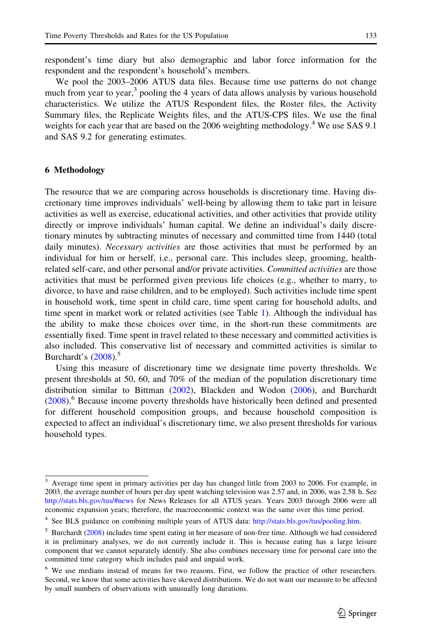respondent's time diary but also demographic and labor force information for the respondent and the respondent's household's members.

We pool the 2003–2006 ATUS data files. Because time use patterns do not change much from year to year, $3$  pooling the 4 years of data allows analysis by various household characteristics. We utilize the ATUS Respondent files, the Roster files, the Activity Summary files, the Replicate Weights files, and the ATUS-CPS files. We use the final weights for each year that are based on the 2006 weighting methodology.<sup>4</sup> We use SAS 9.1 and SAS 9.2 for generating estimates.

#### 6 Methodology

The resource that we are comparing across households is discretionary time. Having discretionary time improves individuals' well-being by allowing them to take part in leisure activities as well as exercise, educational activities, and other activities that provide utility directly or improve individuals' human capital. We define an individual's daily discretionary minutes by subtracting minutes of necessary and committed time from 1440 (total daily minutes). *Necessary activities* are those activities that must be performed by an individual for him or herself, i.e., personal care. This includes sleep, grooming, healthrelated self-care, and other personal and/or private activities. Committed activities are those activities that must be performed given previous life choices (e.g., whether to marry, to divorce, to have and raise children, and to be employed). Such activities include time spent in household work, time spent in child care, time spent caring for household adults, and time spent in market work or related activities (see Table [1\)](#page-5-0). Although the individual has the ability to make these choices over time, in the short-run these commitments are essentially fixed. Time spent in travel related to these necessary and committed activities is also included. This conservative list of necessary and committed activities is similar to Burchardt's ([2008\)](#page-26-0).<sup>5</sup>

Using this measure of discretionary time we designate time poverty thresholds. We present thresholds at 50, 60, and 70% of the median of the population discretionary time distribution similar to Bittman [\(2002](#page-26-0)), Blackden and Wodon ([2006\)](#page-26-0), and Burchardt  $(2008)$  $(2008)$ .<sup>6</sup> Because income poverty thresholds have historically been defined and presented for different household composition groups, and because household composition is expected to affect an individual's discretionary time, we also present thresholds for various household types.

<sup>3</sup> Average time spent in primary activities per day has changed little from 2003 to 2006. For example, in 2003, the average number of hours per day spent watching television was 2.57 and, in 2006, was 2.58 h. See <http://stats.bls.gov/tus/#news> for News Releases for all ATUS years. Years 2003 through 2006 were all economic expansion years; therefore, the macroeconomic context was the same over this time period.

<sup>4</sup> See BLS guidance on combining multiple years of ATUS data: [http://stats.bls.gov/tus/pooling.htm.](http://stats.bls.gov/tus/pooling.htm)

<sup>5</sup> Burchardt [\(2008](#page-26-0)) includes time spent eating in her measure of non-free time. Although we had considered it in preliminary analyses, we do not currently include it. This is because eating has a large leisure component that we cannot separately identify. She also combines necessary time for personal care into the committed time category which includes paid and unpaid work.

<sup>6</sup> We use medians instead of means for two reasons. First, we follow the practice of other researchers. Second, we know that some activities have skewed distributions. We do not want our measure to be affected by small numbers of observations with unusually long durations.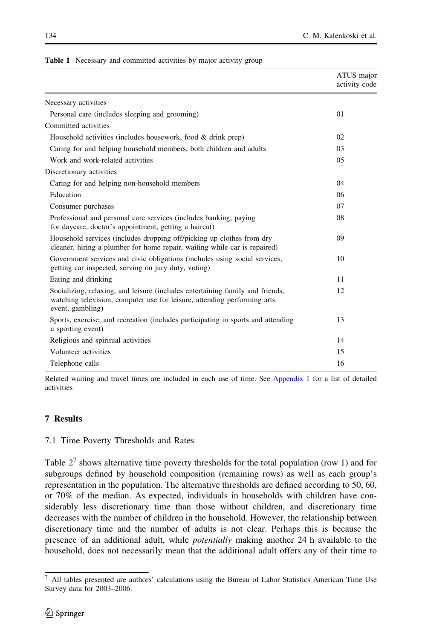|                                                                                                                                                                               | ATUS major<br>activity code |
|-------------------------------------------------------------------------------------------------------------------------------------------------------------------------------|-----------------------------|
| Necessary activities                                                                                                                                                          |                             |
| Personal care (includes sleeping and grooming)                                                                                                                                | 01                          |
| Committed activities                                                                                                                                                          |                             |
| Household activities (includes housework, food $&$ drink prep)                                                                                                                | 02                          |
| Caring for and helping household members, both children and adults                                                                                                            | 03                          |
| Work and work-related activities                                                                                                                                              | 0 <sub>5</sub>              |
| Discretionary activities                                                                                                                                                      |                             |
| Caring for and helping non-household members                                                                                                                                  | 04                          |
| Education                                                                                                                                                                     | 06                          |
| Consumer purchases                                                                                                                                                            | 07                          |
| Professional and personal care services (includes banking, paying<br>for daycare, doctor's appointment, getting a haircut)                                                    | 08                          |
| Household services (includes dropping off/picking up clothes from dry<br>cleaner, hiring a plumber for home repair, waiting while car is repaired)                            | 09                          |
| Government services and civic obligations (includes using social services,<br>getting car inspected, serving on jury duty, voting)                                            | 10                          |
| Eating and drinking                                                                                                                                                           | 11                          |
| Socializing, relaxing, and leisure (includes entertaining family and friends,<br>watching television, computer use for leisure, attending performing arts<br>event, gambling) | 12                          |
| Sports, exercise, and recreation (includes participating in sports and attending<br>a sporting event)                                                                         | 13                          |
| Religious and spiritual activities                                                                                                                                            | 14                          |
| Volunteer activities                                                                                                                                                          | 15                          |
| Telephone calls                                                                                                                                                               | 16                          |

#### <span id="page-5-0"></span>Table 1 Necessary and committed activities by major activity group

Related waiting and travel times are included in each use of time. See [Appendix 1](#page-15-0) for a list of detailed activities

#### 7 Results

### 7.1 Time Poverty Thresholds and Rates

Table  $2<sup>7</sup>$  $2<sup>7</sup>$  shows alternative time poverty thresholds for the total population (row 1) and for subgroups defined by household composition (remaining rows) as well as each group's representation in the population. The alternative thresholds are defined according to 50, 60, or 70% of the median. As expected, individuals in households with children have considerably less discretionary time than those without children, and discretionary time decreases with the number of children in the household. However, the relationship between discretionary time and the number of adults is not clear. Perhaps this is because the presence of an additional adult, while *potentially* making another 24 h available to the household, does not necessarily mean that the additional adult offers any of their time to

<sup>7</sup> All tables presented are authors' calculations using the Bureau of Labor Statistics American Time Use Survey data for 2003–2006.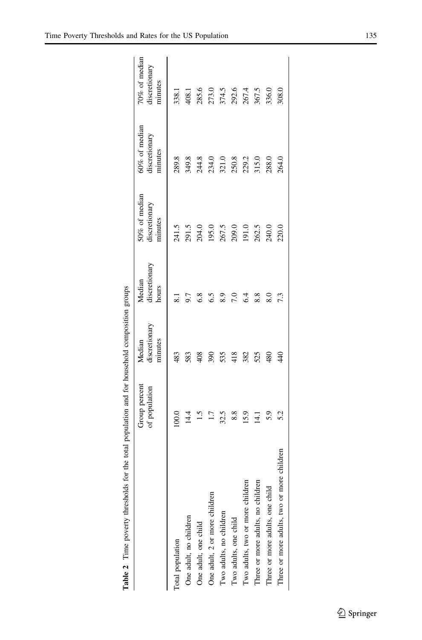<span id="page-6-0"></span>

|                                         | Group percent<br>of population | discretionary<br>Median<br>minutes | Median<br>discretionary<br>hours | 50% of median<br>discretionary<br>minutes | 60% of median<br>discretionary<br>minutes                      | 70% of median<br>discretionary<br>minutes                                                                                                  |
|-----------------------------------------|--------------------------------|------------------------------------|----------------------------------|-------------------------------------------|----------------------------------------------------------------|--------------------------------------------------------------------------------------------------------------------------------------------|
| Total population                        |                                | 483                                |                                  |                                           | 289.8                                                          |                                                                                                                                            |
| One adult, no children                  | 14.4                           | 583                                |                                  |                                           |                                                                |                                                                                                                                            |
| One adult, one child                    |                                | 408                                | 6.8                              |                                           | 349.8<br>244.8<br>234.0<br>250.8<br>250.29.2<br>264.0<br>264.0 | $\begin{array}{l} 338.1 \\ 408.1 \\ 408.1 \\ 213.6 \\ 213.7 \\ 314.5 \\ 222.6 \\ 567.5 \\ 360.0 \\ 360.0 \\ 360.0 \\ 308.0 \\ \end{array}$ |
| One adult, 2 or more children           |                                | 390                                |                                  |                                           |                                                                |                                                                                                                                            |
| Two adults, no children                 | 32.5                           |                                    |                                  |                                           |                                                                |                                                                                                                                            |
| Two adults, one child                   | 8.8<br>15.9                    | 535<br>418                         | 0.26                             |                                           |                                                                |                                                                                                                                            |
| Two adults, two or more children        |                                |                                    | 6.4                              |                                           |                                                                |                                                                                                                                            |
| Three or more adults, no children       | $\overline{14.1}$              | 32<br>52<br>480                    | 8.8                              |                                           |                                                                |                                                                                                                                            |
| Three or more adults, one child         | 5.9                            |                                    | 8.0                              |                                           |                                                                |                                                                                                                                            |
| Three or more adults, two or more child |                                | 440                                |                                  |                                           |                                                                |                                                                                                                                            |
|                                         |                                |                                    |                                  |                                           |                                                                |                                                                                                                                            |

Table 2 Time poverty thresholds for the total population and for household composition groups

Table 2 Time poverty thresholds for the total population and for household composition groups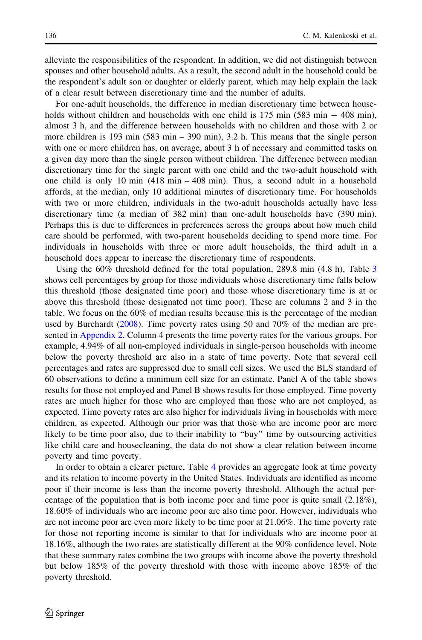alleviate the responsibilities of the respondent. In addition, we did not distinguish between spouses and other household adults. As a result, the second adult in the household could be the respondent's adult son or daughter or elderly parent, which may help explain the lack of a clear result between discretionary time and the number of adults.

For one-adult households, the difference in median discretionary time between households without children and households with one child is  $175 \text{ min}$  (583 min  $-408 \text{ min}$ ), almost 3 h, and the difference between households with no children and those with 2 or more children is 193 min (583 min – 390 min), 3.2 h. This means that the single person with one or more children has, on average, about 3 h of necessary and committed tasks on a given day more than the single person without children. The difference between median discretionary time for the single parent with one child and the two-adult household with one child is only 10 min (418 min – 408 min). Thus, a second adult in a household affords, at the median, only 10 additional minutes of discretionary time. For households with two or more children, individuals in the two-adult households actually have less discretionary time (a median of 382 min) than one-adult households have (390 min). Perhaps this is due to differences in preferences across the groups about how much child care should be performed, with two-parent households deciding to spend more time. For individuals in households with three or more adult households, the third adult in a household does appear to increase the discretionary time of respondents.

Using the 60% threshold defined for the total population, 289.8 min (4.8 h), Table [3](#page-8-0) shows cell percentages by group for those individuals whose discretionary time falls below this threshold (those designated time poor) and those whose discretionary time is at or above this threshold (those designated not time poor). These are columns 2 and 3 in the table. We focus on the 60% of median results because this is the percentage of the median used by Burchardt ([2008\)](#page-26-0). Time poverty rates using 50 and 70% of the median are presented in [Appendix 2.](#page-18-0) Column 4 presents the time poverty rates for the various groups. For example, 4.94% of all non-employed individuals in single-person households with income below the poverty threshold are also in a state of time poverty. Note that several cell percentages and rates are suppressed due to small cell sizes. We used the BLS standard of 60 observations to define a minimum cell size for an estimate. Panel A of the table shows results for those not employed and Panel B shows results for those employed. Time poverty rates are much higher for those who are employed than those who are not employed, as expected. Time poverty rates are also higher for individuals living in households with more children, as expected. Although our prior was that those who are income poor are more likely to be time poor also, due to their inability to ''buy'' time by outsourcing activities like child care and housecleaning, the data do not show a clear relation between income poverty and time poverty.

In order to obtain a clearer picture, Table [4](#page-10-0) provides an aggregate look at time poverty and its relation to income poverty in the United States. Individuals are identified as income poor if their income is less than the income poverty threshold. Although the actual percentage of the population that is both income poor and time poor is quite small  $(2.18\%)$ , 18.60% of individuals who are income poor are also time poor. However, individuals who are not income poor are even more likely to be time poor at 21.06%. The time poverty rate for those not reporting income is similar to that for individuals who are income poor at 18.16%, although the two rates are statistically different at the 90% confidence level. Note that these summary rates combine the two groups with income above the poverty threshold but below 185% of the poverty threshold with those with income above 185% of the poverty threshold.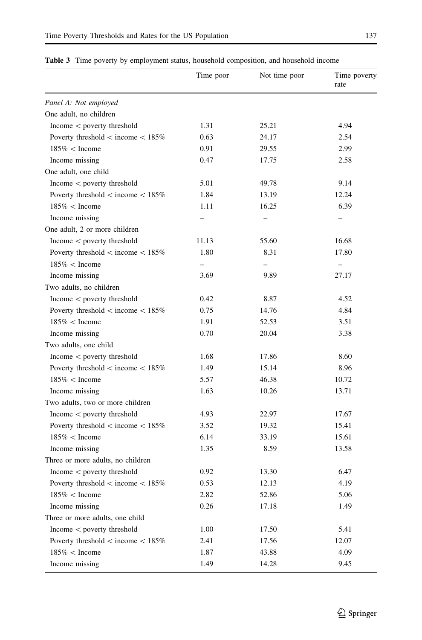|                                                   | Time poor      | Not time poor  | Time poverty<br>rate     |
|---------------------------------------------------|----------------|----------------|--------------------------|
| Panel A: Not employed                             |                |                |                          |
| One adult, no children                            |                |                |                          |
| $Income <$ poverty threshold                      | 1.31           | 25.21          | 4.94                     |
| Poverty threshold $\langle$ income $\langle$ 185% | 0.63           | 24.17          | 2.54                     |
| $185\% <$ Income                                  | 0.91           | 29.55          | 2.99                     |
| Income missing                                    | 0.47           | 17.75          | 2.58                     |
| One adult, one child                              |                |                |                          |
| $Income <$ poverty threshold                      | 5.01           | 49.78          | 9.14                     |
| Poverty threshold $\langle$ income $\langle$ 185% | 1.84           | 13.19          | 12.24                    |
| $185\% <$ Income                                  | 1.11           | 16.25          | 6.39                     |
| Income missing                                    | $\overline{a}$ | $\overline{a}$ | $\overline{\phantom{0}}$ |
| One adult, 2 or more children                     |                |                |                          |
| $Income <$ poverty threshold                      | 11.13          | 55.60          | 16.68                    |
| Poverty threshold $\langle$ income $\langle$ 185% | 1.80           | 8.31           | 17.80                    |
| $185\% <$ Income                                  |                |                | $\overline{\phantom{0}}$ |
| Income missing                                    | 3.69           | 9.89           | 27.17                    |
| Two adults, no children                           |                |                |                          |
| $Income <$ poverty threshold                      | 0.42           | 8.87           | 4.52                     |
| Poverty threshold $\langle$ income $\langle$ 185% | 0.75           | 14.76          | 4.84                     |
| $185\% <$ Income                                  | 1.91           | 52.53          | 3.51                     |
| Income missing                                    | 0.70           | 20.04          | 3.38                     |
| Two adults, one child                             |                |                |                          |
| $Income <$ poverty threshold                      | 1.68           | 17.86          | 8.60                     |
| Poverty threshold $\langle$ income $\langle$ 185% | 1.49           | 15.14          | 8.96                     |
| $185\% <$ Income                                  | 5.57           | 46.38          | 10.72                    |
| Income missing                                    | 1.63           | 10.26          | 13.71                    |
| Two adults, two or more children                  |                |                |                          |
| $Income <$ poverty threshold                      | 4.93           | 22.97          | 17.67                    |
| Poverty threshold $\langle$ income $\langle$ 185% | 3.52           | 19.32          | 15.41                    |
| $185\% <$ Income                                  | 6.14           | 33.19          | 15.61                    |
| Income missing                                    | 1.35           | 8.59           | 13.58                    |
| Three or more adults, no children                 |                |                |                          |
| $Income <$ poverty threshold                      | 0.92           | 13.30          | 6.47                     |
| Poverty threshold $\langle$ income $\langle$ 185% | 0.53           | 12.13          | 4.19                     |
| $185\% <$ Income                                  | 2.82           | 52.86          | 5.06                     |
| Income missing                                    | 0.26           | 17.18          | 1.49                     |
| Three or more adults, one child                   |                |                |                          |
| $Income <$ poverty threshold                      | 1.00           | 17.50          | 5.41                     |
| Poverty threshold $\langle$ income $\langle$ 185% | 2.41           | 17.56          | 12.07                    |
| $185\% <$ Income                                  | 1.87           | 43.88          | 4.09                     |
| Income missing                                    | 1.49           | 14.28          | 9.45                     |

<span id="page-8-0"></span>Table 3 Time poverty by employment status, household composition, and household income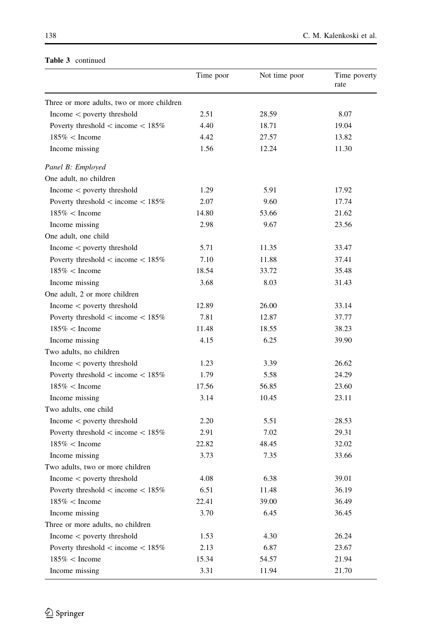|                                                   | Time poor | Not time poor | Time poverty<br>rate |
|---------------------------------------------------|-----------|---------------|----------------------|
| Three or more adults, two or more children        |           |               |                      |
| $Income <$ poverty threshold                      | 2.51      | 28.59         | 8.07                 |
| Poverty threshold $<$ income $<$ 185%             | 4.40      | 18.71         | 19.04                |
| $185\% <$ Income                                  | 4.42      | 27.57         | 13.82                |
| Income missing                                    | 1.56      | 12.24         | 11.30                |
| Panel B: Employed                                 |           |               |                      |
| One adult, no children                            |           |               |                      |
| $Income <$ poverty threshold                      | 1.29      | 5.91          | 17.92                |
| Poverty threshold $\langle$ income $\langle$ 185% | 2.07      | 9.60          | 17.74                |
| $185\% <$ Income                                  | 14.80     | 53.66         | 21.62                |
| Income missing                                    | 2.98      | 9.67          | 23.56                |
| One adult, one child                              |           |               |                      |
| $Income <$ poverty threshold                      | 5.71      | 11.35         | 33.47                |
| Poverty threshold $\langle$ income $\langle$ 185% | 7.10      | 11.88         | 37.41                |
| $185\% <$ Income                                  | 18.54     | 33.72         | 35.48                |
| Income missing                                    | 3.68      | 8.03          | 31.43                |
| One adult, 2 or more children                     |           |               |                      |
| $Income <$ poverty threshold                      | 12.89     | 26.00         | 33.14                |
| Poverty threshold $<$ income $<$ 185%             | 7.81      | 12.87         | 37.77                |
| $185\% <$ Income                                  | 11.48     | 18.55         | 38.23                |
| Income missing                                    | 4.15      | 6.25          | 39.90                |
| Two adults, no children                           |           |               |                      |
| $Income <$ poverty threshold                      | 1.23      | 3.39          | 26.62                |
| Poverty threshold $<$ income $<$ 185%             | 1.79      | 5.58          | 24.29                |
| $185\% <$ Income                                  | 17.56     | 56.85         | 23.60                |
| Income missing                                    | 3.14      | 10.45         | 23.11                |
| Two adults, one child                             |           |               |                      |
| $Income <$ poverty threshold                      | 2.20      | 5.51          | 28.53                |
| Poverty threshold $\langle$ income $\langle$ 185% | 2.91      | 7.02          | 29.31                |
| $185\% <$ Income                                  | 22.82     | 48.45         | 32.02                |
| Income missing                                    | 3.73      | 7.35          | 33.66                |
| Two adults, two or more children                  |           |               |                      |
| $Income <$ poverty threshold                      | 4.08      | 6.38          | 39.01                |
| Poverty threshold $\langle$ income $\langle$ 185% | 6.51      | 11.48         | 36.19                |
| $185\% <$ Income                                  | 22.41     | 39.00         | 36.49                |
| Income missing                                    | 3.70      | 6.45          | 36.45                |
| Three or more adults, no children                 |           |               |                      |
| Income $<$ poverty threshold                      | 1.53      | 4.30          | 26.24                |
| Poverty threshold $<$ income $<$ 185%             | 2.13      | 6.87          | 23.67                |
| $185\% <$ Income                                  | 15.34     | 54.57         | 21.94                |
| Income missing                                    | 3.31      | 11.94         | 21.70                |

#### Table 3 continued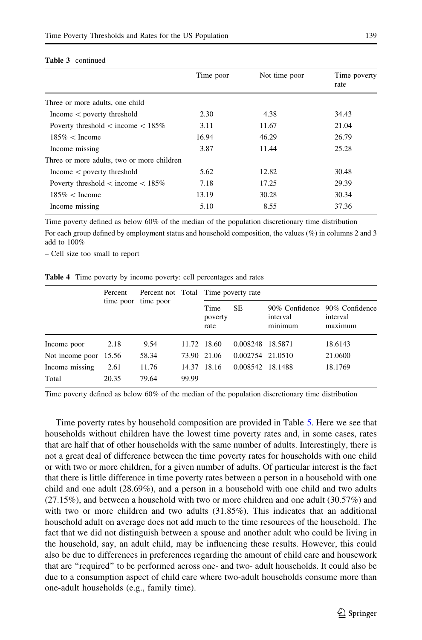| Not time poor<br>Time poor                                         | Time poverty<br>rate |
|--------------------------------------------------------------------|----------------------|
| Three or more adults, one child                                    |                      |
| $Income <$ poverty threshold<br>2.30<br>4.38                       | 34.43                |
| Poverty threshold $\langle$ income $\langle$ 185%<br>3.11<br>11.67 | 21.04                |
| 16.94<br>46.29<br>$185\% <$ Income                                 | 26.79                |
| 3.87<br>11.44<br>Income missing                                    | 25.28                |
| Three or more adults, two or more children                         |                      |
| 5.62<br>12.82<br>$Income <$ poverty threshold                      | 30.48                |
| Poverty threshold $\langle$ income $\langle$ 185%<br>7.18<br>17.25 | 29.39                |
| $185\% <$ Income<br>30.28<br>13.19                                 | 30.34                |
| 8.55<br>Income missing<br>5.10                                     | 37.36                |
|                                                                    |                      |

#### <span id="page-10-0"></span>Table 3 continued

Time poverty defined as below 60% of the median of the population discretionary time distribution For each group defined by employment status and household composition, the values (%) in columns 2 and 3 add to 100%

– Cell size too small to report

|  |  |  |  |  |  |  |  |  |  | <b>Table 4</b> Time poverty by income poverty: cell percentages and rates |  |  |
|--|--|--|--|--|--|--|--|--|--|---------------------------------------------------------------------------|--|--|
|--|--|--|--|--|--|--|--|--|--|---------------------------------------------------------------------------|--|--|

|                       | Percent   | Percent not Total Time poverty rate |       |                         |                  |                     |                                                      |
|-----------------------|-----------|-------------------------------------|-------|-------------------------|------------------|---------------------|------------------------------------------------------|
|                       | time poor | time poor                           |       | Time<br>poverty<br>rate | <b>SE</b>        | interval<br>minimum | 90% Confidence 90% Confidence<br>interval<br>maximum |
| Income poor           | 2.18      | 9.54                                |       | 11.72 18.60             | 0.008248         | 18.5871             | 18.6143                                              |
| Not income poor 15.56 |           | 58.34                               |       | 73.90 21.06             | 0.002754 21.0510 |                     | 21.0600                                              |
| Income missing        | 2.61      | 11.76                               | 14.37 | 18.16                   | 0.008542 18.1488 |                     | 18.1769                                              |
| Total                 | 20.35     | 79.64                               | 99.99 |                         |                  |                     |                                                      |

Time poverty defined as below 60% of the median of the population discretionary time distribution

Time poverty rates by household composition are provided in Table [5.](#page-11-0) Here we see that households without children have the lowest time poverty rates and, in some cases, rates that are half that of other households with the same number of adults. Interestingly, there is not a great deal of difference between the time poverty rates for households with one child or with two or more children, for a given number of adults. Of particular interest is the fact that there is little difference in time poverty rates between a person in a household with one child and one adult (28.69%), and a person in a household with one child and two adults (27.15%), and between a household with two or more children and one adult (30.57%) and with two or more children and two adults (31.85%). This indicates that an additional household adult on average does not add much to the time resources of the household. The fact that we did not distinguish between a spouse and another adult who could be living in the household, say, an adult child, may be influencing these results. However, this could also be due to differences in preferences regarding the amount of child care and housework that are ''required'' to be performed across one- and two- adult households. It could also be due to a consumption aspect of child care where two-adult households consume more than one-adult households (e.g., family time).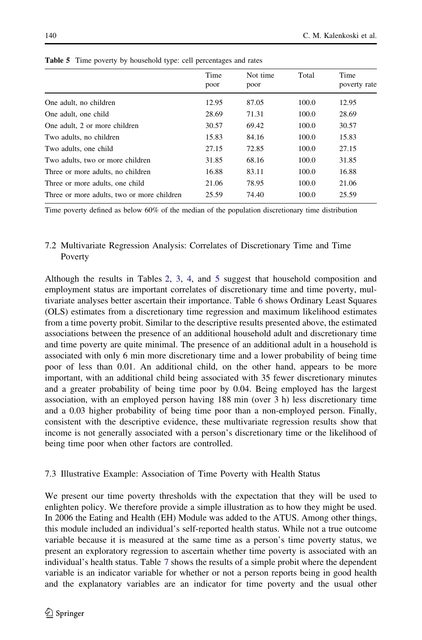|                                            | Time<br>poor | Not time<br>poor | Total | Time<br>poverty rate |
|--------------------------------------------|--------------|------------------|-------|----------------------|
| One adult, no children                     | 12.95        | 87.05            | 100.0 | 12.95                |
| One adult, one child                       | 28.69        | 71.31            | 100.0 | 28.69                |
| One adult, 2 or more children              | 30.57        | 69.42            | 100.0 | 30.57                |
| Two adults, no children                    | 15.83        | 84.16            | 100.0 | 15.83                |
| Two adults, one child                      | 27.15        | 72.85            | 100.0 | 27.15                |
| Two adults, two or more children           | 31.85        | 68.16            | 100.0 | 31.85                |
| Three or more adults, no children          | 16.88        | 83.11            | 100.0 | 16.88                |
| Three or more adults, one child            | 21.06        | 78.95            | 100.0 | 21.06                |
| Three or more adults, two or more children | 25.59        | 74.40            | 100.0 | 25.59                |
|                                            |              |                  |       |                      |

<span id="page-11-0"></span>Table 5 Time poverty by household type: cell percentages and rates

Time poverty defined as below 60% of the median of the population discretionary time distribution

## 7.2 Multivariate Regression Analysis: Correlates of Discretionary Time and Time Poverty

Although the results in Tables [2,](#page-6-0) [3](#page-8-0), [4,](#page-10-0) and 5 suggest that household composition and employment status are important correlates of discretionary time and time poverty, multivariate analyses better ascertain their importance. Table [6](#page-12-0) shows Ordinary Least Squares (OLS) estimates from a discretionary time regression and maximum likelihood estimates from a time poverty probit. Similar to the descriptive results presented above, the estimated associations between the presence of an additional household adult and discretionary time and time poverty are quite minimal. The presence of an additional adult in a household is associated with only 6 min more discretionary time and a lower probability of being time poor of less than 0.01. An additional child, on the other hand, appears to be more important, with an additional child being associated with 35 fewer discretionary minutes and a greater probability of being time poor by 0.04. Being employed has the largest association, with an employed person having 188 min (over 3 h) less discretionary time and a 0.03 higher probability of being time poor than a non-employed person. Finally, consistent with the descriptive evidence, these multivariate regression results show that income is not generally associated with a person's discretionary time or the likelihood of being time poor when other factors are controlled.

#### 7.3 Illustrative Example: Association of Time Poverty with Health Status

We present our time poverty thresholds with the expectation that they will be used to enlighten policy. We therefore provide a simple illustration as to how they might be used. In 2006 the Eating and Health (EH) Module was added to the ATUS. Among other things, this module included an individual's self-reported health status. While not a true outcome variable because it is measured at the same time as a person's time poverty status, we present an exploratory regression to ascertain whether time poverty is associated with an individual's health status. Table [7](#page-13-0) shows the results of a simple probit where the dependent variable is an indicator variable for whether or not a person reports being in good health and the explanatory variables are an indicator for time poverty and the usual other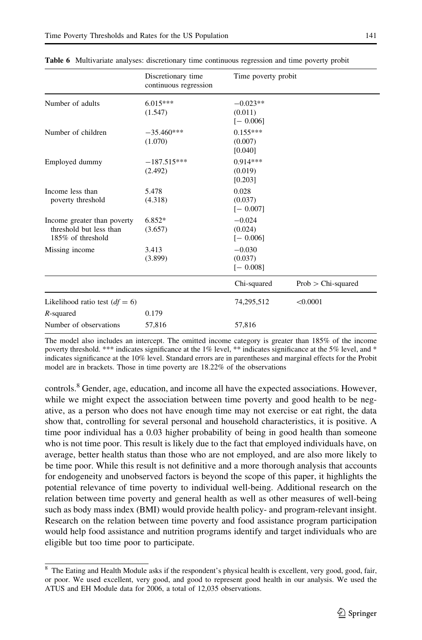|                                                                             | Discretionary time<br>continuous regression | Time poverty probit                 |                      |
|-----------------------------------------------------------------------------|---------------------------------------------|-------------------------------------|----------------------|
| Number of adults                                                            | $6.015***$<br>(1.547)                       | $-0.023**$<br>(0.011)<br>$[-0.006]$ |                      |
| Number of children                                                          | $-35.460***$<br>(1.070)                     | $0.155***$<br>(0.007)<br>[0.040]    |                      |
| Employed dummy                                                              | $-187.515***$<br>(2.492)                    | $0.914***$<br>(0.019)<br>[0.203]    |                      |
| Income less than<br>poverty threshold                                       | 5.478<br>(4.318)                            | 0.028<br>(0.037)<br>$[-0.007]$      |                      |
| Income greater than poverty<br>threshold but less than<br>185% of threshold | $6.852*$<br>(3.657)                         | $-0.024$<br>(0.024)<br>$[-0.006]$   |                      |
| Missing income                                                              | 3.413<br>(3.899)                            | $-0.030$<br>(0.037)<br>$[-0.008]$   |                      |
|                                                                             |                                             | Chi-squared                         | $Prob$ > Chi-squared |
| Likelihood ratio test $(df = 6)$                                            |                                             | 74,295,512                          | < 0.0001             |
| $R$ -squared                                                                | 0.179                                       |                                     |                      |
| Number of observations                                                      | 57,816                                      | 57,816                              |                      |

<span id="page-12-0"></span>Table 6 Multivariate analyses: discretionary time continuous regression and time poverty probit

The model also includes an intercept. The omitted income category is greater than 185% of the income poverty threshold. \*\*\* indicates significance at the 1% level, \*\* indicates significance at the 5% level, and \* indicates significance at the 10% level. Standard errors are in parentheses and marginal effects for the Probit model are in brackets. Those in time poverty are 18.22% of the observations

controls.<sup>8</sup> Gender, age, education, and income all have the expected associations. However, while we might expect the association between time poverty and good health to be negative, as a person who does not have enough time may not exercise or eat right, the data show that, controlling for several personal and household characteristics, it is positive. A time poor individual has a 0.03 higher probability of being in good health than someone who is not time poor. This result is likely due to the fact that employed individuals have, on average, better health status than those who are not employed, and are also more likely to be time poor. While this result is not definitive and a more thorough analysis that accounts for endogeneity and unobserved factors is beyond the scope of this paper, it highlights the potential relevance of time poverty to individual well-being. Additional research on the relation between time poverty and general health as well as other measures of well-being such as body mass index (BMI) would provide health policy- and program-relevant insight. Research on the relation between time poverty and food assistance program participation would help food assistance and nutrition programs identify and target individuals who are eligible but too time poor to participate.

<sup>&</sup>lt;sup>8</sup> The Eating and Health Module asks if the respondent's physical health is excellent, very good, good, fair, or poor. We used excellent, very good, and good to represent good health in our analysis. We used the ATUS and EH Module data for 2006, a total of 12,035 observations.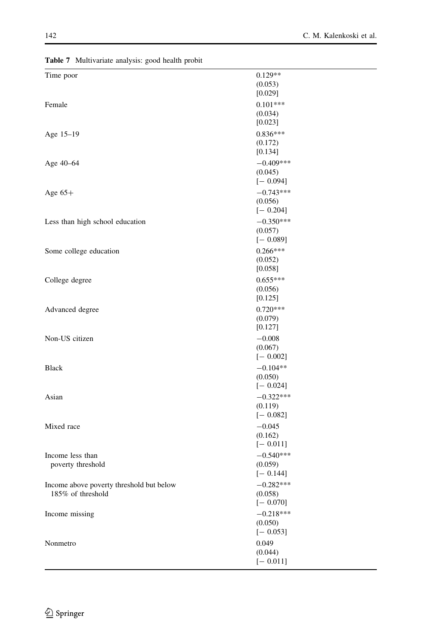| Time poor                                | $0.129**$<br>(0.053)   |
|------------------------------------------|------------------------|
|                                          | [0.029]                |
| Female                                   | $0.101***$             |
|                                          | (0.034)<br>[0.023]     |
| Age 15-19                                | $0.836***$             |
|                                          | (0.172)<br>[0.134]     |
| Age 40-64                                | $-0.409***$            |
|                                          | (0.045)                |
|                                          | $[-0.094]$             |
| Age $65+$                                | $-0.743***$<br>(0.056) |
|                                          | $[-0.204]$             |
| Less than high school education          | $-0.350***$            |
|                                          | (0.057)<br>$[-0.089]$  |
| Some college education                   | $0.266***$             |
|                                          | (0.052)                |
|                                          | [0.058]                |
| College degree                           | $0.655***$             |
|                                          | (0.056)<br>[0.125]     |
| Advanced degree                          | $0.720***$             |
|                                          | (0.079)                |
|                                          | [0.127]                |
| Non-US citizen                           | $-0.008$               |
|                                          | (0.067)<br>$[-0.002]$  |
| <b>Black</b>                             | $-0.104**$             |
|                                          | (0.050)                |
|                                          | $[-0.024]$             |
| Asian                                    | $-0.322***$            |
|                                          | (0.119)<br>$[-0.082]$  |
| Mixed race                               | $-0.045$               |
|                                          | (0.162)                |
|                                          | $[-0.011]$             |
| Income less than                         | $-0.540***$            |
| poverty threshold                        | (0.059)<br>$[-0.144]$  |
| Income above poverty threshold but below | $-0.282***$            |
| 185% of threshold                        | (0.058)                |
|                                          | $[-0.070]$             |
| Income missing                           | $-0.218***$<br>(0.050) |
|                                          | $[-0.053]$             |
| Nonmetro                                 | 0.049                  |
|                                          | (0.044)                |
|                                          | $[-0.011]$             |

<span id="page-13-0"></span>

| <b>Table 7</b> Multivariate analysis: good health probit |  |
|----------------------------------------------------------|--|
|----------------------------------------------------------|--|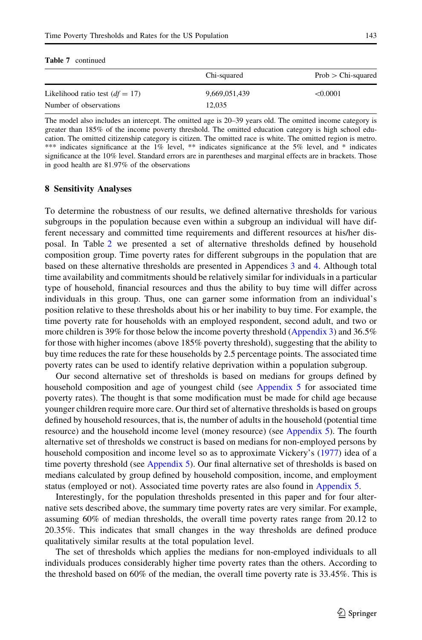| <b>Table 7</b> continued          |               |                      |
|-----------------------------------|---------------|----------------------|
|                                   | Chi-squared   | $Prob$ > Chi-squared |
| Likelihood ratio test $(df = 17)$ | 9,669,051,439 | < 0.0001             |
| Number of observations            | 12.035        |                      |

The model also includes an intercept. The omitted age is 20–39 years old. The omitted income category is greater than 185% of the income poverty threshold. The omitted education category is high school education. The omitted citizenship category is citizen. The omitted race is white. The omitted region is metro. \*\*\* indicates significance at the 1% level, \*\* indicates significance at the 5% level, and \* indicates significance at the 10% level. Standard errors are in parentheses and marginal effects are in brackets. Those in good health are 81.97% of the observations

#### 8 Sensitivity Analyses

To determine the robustness of our results, we defined alternative thresholds for various subgroups in the population because even within a subgroup an individual will have different necessary and committed time requirements and different resources at his/her disposal. In Table [2](#page-6-0) we presented a set of alternative thresholds defined by household composition group. Time poverty rates for different subgroups in the population that are based on these alternative thresholds are presented in Appendices [3](#page-20-0) and [4.](#page-22-0) Although total time availability and commitments should be relatively similar for individuals in a particular type of household, financial resources and thus the ability to buy time will differ across individuals in this group. Thus, one can garner some information from an individual's position relative to these thresholds about his or her inability to buy time. For example, the time poverty rate for households with an employed respondent, second adult, and two or more children is 39% for those below the income poverty threshold [\(Appendix 3](#page-20-0)) and 36.5% for those with higher incomes (above 185% poverty threshold), suggesting that the ability to buy time reduces the rate for these households by 2.5 percentage points. The associated time poverty rates can be used to identify relative deprivation within a population subgroup.

Our second alternative set of thresholds is based on medians for groups defined by household composition and age of youngest child (see [Appendix 5](#page-23-0) for associated time poverty rates). The thought is that some modification must be made for child age because younger children require more care. Our third set of alternative thresholds is based on groups defined by household resources, that is, the number of adults in the household (potential time resource) and the household income level (money resource) (see [Appendix 5](#page-23-0)). The fourth alternative set of thresholds we construct is based on medians for non-employed persons by household composition and income level so as to approximate Vickery's ([1977\)](#page-26-0) idea of a time poverty threshold (see [Appendix 5\)](#page-23-0). Our final alternative set of thresholds is based on medians calculated by group defined by household composition, income, and employment status (employed or not). Associated time poverty rates are also found in [Appendix 5](#page-23-0).

Interestingly, for the population thresholds presented in this paper and for four alternative sets described above, the summary time poverty rates are very similar. For example, assuming 60% of median thresholds, the overall time poverty rates range from 20.12 to 20.35%. This indicates that small changes in the way thresholds are defined produce qualitatively similar results at the total population level.

The set of thresholds which applies the medians for non-employed individuals to all individuals produces considerably higher time poverty rates than the others. According to the threshold based on 60% of the median, the overall time poverty rate is 33.45%. This is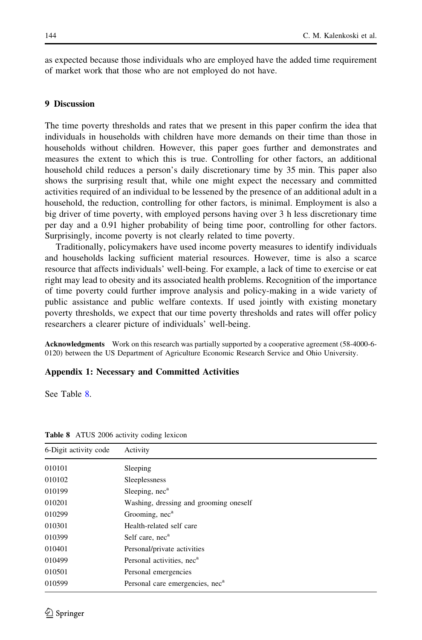<span id="page-15-0"></span>as expected because those individuals who are employed have the added time requirement of market work that those who are not employed do not have.

### 9 Discussion

The time poverty thresholds and rates that we present in this paper confirm the idea that individuals in households with children have more demands on their time than those in households without children. However, this paper goes further and demonstrates and measures the extent to which this is true. Controlling for other factors, an additional household child reduces a person's daily discretionary time by 35 min. This paper also shows the surprising result that, while one might expect the necessary and committed activities required of an individual to be lessened by the presence of an additional adult in a household, the reduction, controlling for other factors, is minimal. Employment is also a big driver of time poverty, with employed persons having over 3 h less discretionary time per day and a 0.91 higher probability of being time poor, controlling for other factors. Surprisingly, income poverty is not clearly related to time poverty.

Traditionally, policymakers have used income poverty measures to identify individuals and households lacking sufficient material resources. However, time is also a scarce resource that affects individuals' well-being. For example, a lack of time to exercise or eat right may lead to obesity and its associated health problems. Recognition of the importance of time poverty could further improve analysis and policy-making in a wide variety of public assistance and public welfare contexts. If used jointly with existing monetary poverty thresholds, we expect that our time poverty thresholds and rates will offer policy researchers a clearer picture of individuals' well-being.

Acknowledgments Work on this research was partially supported by a cooperative agreement (58-4000-6- 0120) between the US Department of Agriculture Economic Research Service and Ohio University.

#### Appendix 1: Necessary and Committed Activities

See Table 8.

| 6-Digit activity code | Activity                                    |
|-----------------------|---------------------------------------------|
| 010101                | Sleeping                                    |
| 010102                | Sleeplessness                               |
| 010199                | Sleeping, nec <sup>a</sup>                  |
| 010201                | Washing, dressing and grooming oneself      |
| 010299                | Grooming, nec <sup>a</sup>                  |
| 010301                | Health-related self care                    |
| 010399                | Self care, nec <sup>a</sup>                 |
| 010401                | Personal/private activities                 |
| 010499                | Personal activities, nec <sup>a</sup>       |
| 010501                | Personal emergencies                        |
| 010599                | Personal care emergencies, nec <sup>a</sup> |

Table 8 ATUS 2006 activity coding lexicon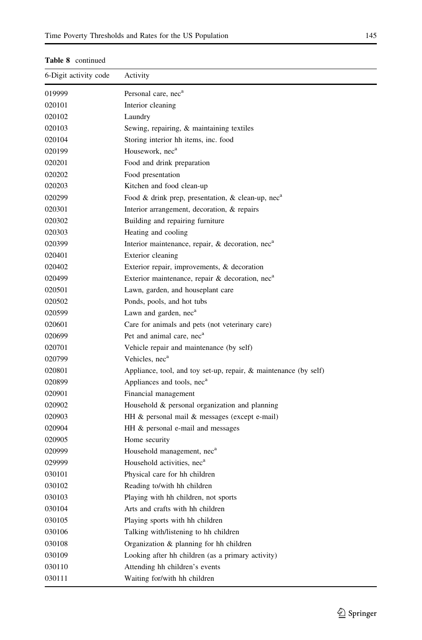### Table 8 continued

| 6-Digit activity code | Activity                                                         |
|-----------------------|------------------------------------------------------------------|
| 019999                | Personal care, nec <sup>a</sup>                                  |
| 020101                | Interior cleaning                                                |
| 020102                | Laundry                                                          |
| 020103                | Sewing, repairing, & maintaining textiles                        |
| 020104                | Storing interior hh items, inc. food                             |
| 020199                | Housework, nec <sup>a</sup>                                      |
| 020201                | Food and drink preparation                                       |
| 020202                | Food presentation                                                |
| 020203                | Kitchen and food clean-up                                        |
| 020299                | Food & drink prep, presentation, & clean-up, nec <sup>a</sup>    |
| 020301                | Interior arrangement, decoration, & repairs                      |
| 020302                | Building and repairing furniture                                 |
| 020303                | Heating and cooling                                              |
| 020399                | Interior maintenance, repair, & decoration, nec <sup>a</sup>     |
| 020401                | Exterior cleaning                                                |
| 020402                | Exterior repair, improvements, & decoration                      |
| 020499                | Exterior maintenance, repair & decoration, nec <sup>a</sup>      |
| 020501                | Lawn, garden, and houseplant care                                |
| 020502                | Ponds, pools, and hot tubs                                       |
| 020599                | Lawn and garden, nec <sup>a</sup>                                |
| 020601                | Care for animals and pets (not veterinary care)                  |
| 020699                | Pet and animal care, nec <sup>a</sup>                            |
| 020701                | Vehicle repair and maintenance (by self)                         |
| 020799                | Vehicles, nec <sup>a</sup>                                       |
| 020801                | Appliance, tool, and toy set-up, repair, & maintenance (by self) |
| 020899                | Appliances and tools, nec <sup>a</sup>                           |
| 020901                | Financial management                                             |
| 020902                | Household & personal organization and planning                   |
| 020903                | HH & personal mail & messages (except e-mail)                    |
| 020904                | HH & personal e-mail and messages                                |
| 020905                | Home security                                                    |
| 020999                | Household management, nec <sup>a</sup>                           |
| 029999                | Household activities, nec <sup>a</sup>                           |
| 030101                | Physical care for hh children                                    |
| 030102                | Reading to/with hh children                                      |
| 030103                | Playing with hh children, not sports                             |
| 030104                | Arts and crafts with hh children                                 |
| 030105                | Playing sports with hh children                                  |
| 030106                | Talking with/listening to hh children                            |
| 030108                | Organization & planning for hh children                          |
| 030109                | Looking after hh children (as a primary activity)                |
| 030110                | Attending hh children's events                                   |
| 030111                | Waiting for/with hh children                                     |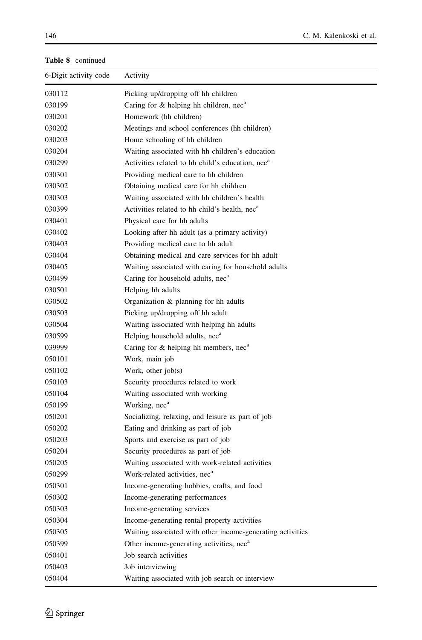| 6-Digit activity code | Activity                                                     |
|-----------------------|--------------------------------------------------------------|
| 030112                | Picking up/dropping off hh children                          |
| 030199                | Caring for & helping hh children, nec <sup>a</sup>           |
| 030201                | Homework (hh children)                                       |
| 030202                | Meetings and school conferences (hh children)                |
| 030203                | Home schooling of hh children                                |
| 030204                | Waiting associated with hh children's education              |
| 030299                | Activities related to hh child's education, nec <sup>a</sup> |
| 030301                | Providing medical care to hh children                        |
| 030302                | Obtaining medical care for hh children                       |
| 030303                | Waiting associated with hh children's health                 |
| 030399                | Activities related to hh child's health, nec <sup>a</sup>    |
| 030401                | Physical care for hh adults                                  |
| 030402                | Looking after hh adult (as a primary activity)               |
| 030403                | Providing medical care to hh adult                           |
| 030404                | Obtaining medical and care services for hh adult             |
| 030405                | Waiting associated with caring for household adults          |
| 030499                | Caring for household adults, nec <sup>a</sup>                |
| 030501                | Helping hh adults                                            |
| 030502                | Organization & planning for hh adults                        |
| 030503                | Picking up/dropping off hh adult                             |
| 030504                | Waiting associated with helping hh adults                    |
| 030599                | Helping household adults, nec <sup>a</sup>                   |
| 039999                | Caring for $&$ helping hh members, nec <sup>a</sup>          |
| 050101                | Work, main job                                               |
| 050102                | Work, other job(s)                                           |
| 050103                | Security procedures related to work                          |
| 050104                | Waiting associated with working                              |
| 050199                | Working, nec <sup>a</sup>                                    |
| 050201                | Socializing, relaxing, and leisure as part of job            |
| 050202                | Eating and drinking as part of job                           |
| 050203                | Sports and exercise as part of job                           |
| 050204                | Security procedures as part of job                           |
| 050205                | Waiting associated with work-related activities              |
| 050299                | Work-related activities, nec <sup>a</sup>                    |
| 050301                | Income-generating hobbies, crafts, and food                  |
| 050302                | Income-generating performances                               |
| 050303                | Income-generating services                                   |
| 050304                | Income-generating rental property activities                 |
| 050305                | Waiting associated with other income-generating activities   |
| 050399                | Other income-generating activities, nec <sup>a</sup>         |
| 050401                | Job search activities                                        |
| 050403                | Job interviewing                                             |
| 050404                | Waiting associated with job search or interview              |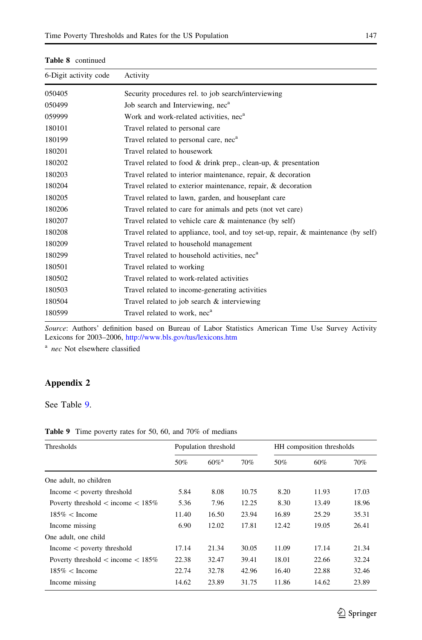<span id="page-18-0"></span>

| Table 8 | continued |
|---------|-----------|
|---------|-----------|

| 6-Digit activity code | Activity                                                                              |
|-----------------------|---------------------------------------------------------------------------------------|
| 050405                | Security procedures rel. to job search/interviewing                                   |
| 050499                | Job search and Interviewing, nec <sup>a</sup>                                         |
| 059999                | Work and work-related activities, nec <sup>a</sup>                                    |
| 180101                | Travel related to personal care                                                       |
| 180199                | Travel related to personal care, nec <sup>a</sup>                                     |
| 180201                | Travel related to housework                                                           |
| 180202                | Travel related to food $\&$ drink prep., clean-up, $\&$ presentation                  |
| 180203                | Travel related to interior maintenance, repair, & decoration                          |
| 180204                | Travel related to exterior maintenance, repair, & decoration                          |
| 180205                | Travel related to lawn, garden, and houseplant care                                   |
| 180206                | Travel related to care for animals and pets (not vet care)                            |
| 180207                | Travel related to vehicle care $\&$ maintenance (by self)                             |
| 180208                | Travel related to appliance, tool, and toy set-up, repair, $\&$ maintenance (by self) |
| 180209                | Travel related to household management                                                |
| 180299                | Travel related to household activities, nec <sup>a</sup>                              |
| 180501                | Travel related to working                                                             |
| 180502                | Travel related to work-related activities                                             |
| 180503                | Travel related to income-generating activities                                        |
| 180504                | Travel related to job search & interviewing                                           |
| 180599                | Travel related to work, nec <sup>a</sup>                                              |

Source: Authors' definition based on Bureau of Labor Statistics American Time Use Survey Activity Lexicons for 2003–2006, <http://www.bls.gov/tus/lexicons.htm>

<sup>a</sup> nec Not elsewhere classified

## Appendix 2

See Table 9.

| <b>Thresholds</b>                                 |       | Population threshold |       | HH composition thresholds |       |       |  |
|---------------------------------------------------|-------|----------------------|-------|---------------------------|-------|-------|--|
|                                                   | 50%   | $60\%$ <sup>a</sup>  | 70%   | 50%                       | 60%   | 70%   |  |
| One adult, no children                            |       |                      |       |                           |       |       |  |
| $Income <$ poverty threshold                      | 5.84  | 8.08                 | 10.75 | 8.20                      | 11.93 | 17.03 |  |
| Poverty threshold $\langle$ income $\langle$ 185% | 5.36  | 7.96                 | 12.25 | 8.30                      | 13.49 | 18.96 |  |
| $185\% <$ Income                                  | 11.40 | 16.50                | 23.94 | 16.89                     | 25.29 | 35.31 |  |
| Income missing                                    | 6.90  | 12.02                | 17.81 | 12.42                     | 19.05 | 26.41 |  |
| One adult, one child                              |       |                      |       |                           |       |       |  |
| $Income <$ poverty threshold                      | 17.14 | 21.34                | 30.05 | 11.09                     | 17.14 | 21.34 |  |
| Poverty threshold $\langle$ income $\langle$ 185% | 22.38 | 32.47                | 39.41 | 18.01                     | 22.66 | 32.24 |  |
| $185\% <$ Income                                  | 22.74 | 32.78                | 42.96 | 16.40                     | 22.88 | 32.46 |  |
| Income missing                                    | 14.62 | 23.89                | 31.75 | 11.86                     | 14.62 | 23.89 |  |

Table 9 Time poverty rates for 50, 60, and 70% of medians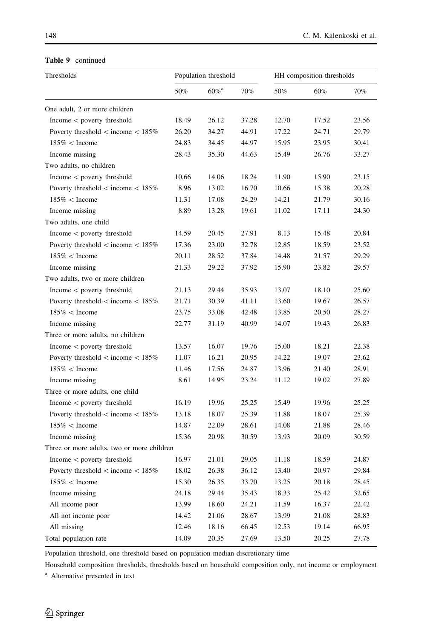### Table 9 continued

|                                                   | 50%   | $60\%$ <sup>a</sup> | 70%   | 50%   | 60%   | 70%   |
|---------------------------------------------------|-------|---------------------|-------|-------|-------|-------|
| One adult, 2 or more children                     |       |                     |       |       |       |       |
| $Income <$ poverty threshold                      | 18.49 | 26.12               | 37.28 | 12.70 | 17.52 | 23.56 |
| Poverty threshold $<$ income $<$ 185%             | 26.20 | 34.27               | 44.91 | 17.22 | 24.71 | 29.79 |
| $185\% <$ Income                                  | 24.83 | 34.45               | 44.97 | 15.95 | 23.95 | 30.41 |
| Income missing                                    | 28.43 | 35.30               | 44.63 | 15.49 | 26.76 | 33.27 |
| Two adults, no children                           |       |                     |       |       |       |       |
| $Income <$ poverty threshold                      | 10.66 | 14.06               | 18.24 | 11.90 | 15.90 | 23.15 |
| Poverty threshold $\langle$ income $\langle$ 185% | 8.96  | 13.02               | 16.70 | 10.66 | 15.38 | 20.28 |
| $185\% <$ Income                                  | 11.31 | 17.08               | 24.29 | 14.21 | 21.79 | 30.16 |
| Income missing                                    | 8.89  | 13.28               | 19.61 | 11.02 | 17.11 | 24.30 |
| Two adults, one child                             |       |                     |       |       |       |       |
| $Income <$ poverty threshold                      | 14.59 | 20.45               | 27.91 | 8.13  | 15.48 | 20.84 |
| Poverty threshold $\langle$ income $\langle$ 185% | 17.36 | 23.00               | 32.78 | 12.85 | 18.59 | 23.52 |
| $185\% <$ Income                                  | 20.11 | 28.52               | 37.84 | 14.48 | 21.57 | 29.29 |
| Income missing                                    | 21.33 | 29.22               | 37.92 | 15.90 | 23.82 | 29.57 |
| Two adults, two or more children                  |       |                     |       |       |       |       |
| $Income <$ poverty threshold                      | 21.13 | 29.44               | 35.93 | 13.07 | 18.10 | 25.60 |
| Poverty threshold $\langle$ income $\langle$ 185% | 21.71 | 30.39               | 41.11 | 13.60 | 19.67 | 26.57 |
| $185\% <$ Income                                  | 23.75 | 33.08               | 42.48 | 13.85 | 20.50 | 28.27 |
| Income missing                                    | 22.77 | 31.19               | 40.99 | 14.07 | 19.43 | 26.83 |
| Three or more adults, no children                 |       |                     |       |       |       |       |
| $Income <$ poverty threshold                      | 13.57 | 16.07               | 19.76 | 15.00 | 18.21 | 22.38 |
| Poverty threshold $\langle$ income $\langle$ 185% | 11.07 | 16.21               | 20.95 | 14.22 | 19.07 | 23.62 |
| $185\% <$ Income                                  | 11.46 | 17.56               | 24.87 | 13.96 | 21.40 | 28.91 |
| Income missing                                    | 8.61  | 14.95               | 23.24 | 11.12 | 19.02 | 27.89 |
| Three or more adults, one child                   |       |                     |       |       |       |       |
| $Income <$ poverty threshold                      | 16.19 | 19.96               | 25.25 | 15.49 | 19.96 | 25.25 |
| Poverty threshold $\langle$ income $\langle$ 185% | 13.18 | 18.07               | 25.39 | 11.88 | 18.07 | 25.39 |
| $185\% <$ Income                                  | 14.87 | 22.09               | 28.61 | 14.08 | 21.88 | 28.46 |
| Income missing                                    | 15.36 | 20.98               | 30.59 | 13.93 | 20.09 | 30.59 |
| Three or more adults, two or more children        |       |                     |       |       |       |       |
| $Income <$ poverty threshold                      | 16.97 | 21.01               | 29.05 | 11.18 | 18.59 | 24.87 |
| Poverty threshold $\langle$ income $\langle$ 185% | 18.02 | 26.38               | 36.12 | 13.40 | 20.97 | 29.84 |
| $185\% <$ Income                                  | 15.30 | 26.35               | 33.70 | 13.25 | 20.18 | 28.45 |
| Income missing                                    | 24.18 | 29.44               | 35.43 | 18.33 | 25.42 | 32.65 |
| All income poor                                   | 13.99 | 18.60               | 24.21 | 11.59 | 16.37 | 22.42 |
| All not income poor                               | 14.42 | 21.06               | 28.67 | 13.99 | 21.08 | 28.83 |
| All missing                                       | 12.46 | 18.16               | 66.45 | 12.53 | 19.14 | 66.95 |
| Total population rate                             | 14.09 | 20.35               | 27.69 | 13.50 | 20.25 | 27.78 |

Population threshold, one threshold based on population median discretionary time

Household composition thresholds, thresholds based on household composition only, not income or employment

<sup>a</sup> Alternative presented in text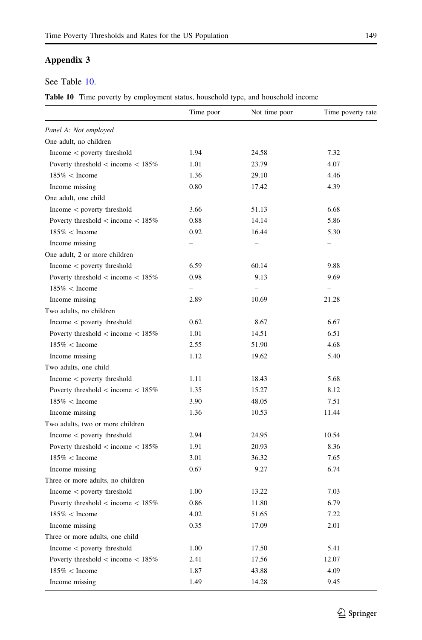## <span id="page-20-0"></span>Appendix 3

### See Table 10.

Table 10 Time poverty by employment status, household type, and household income

|                                                   | Time poor         | Not time poor     | Time poverty rate        |
|---------------------------------------------------|-------------------|-------------------|--------------------------|
| Panel A: Not employed                             |                   |                   |                          |
| One adult, no children                            |                   |                   |                          |
| $Income <$ poverty threshold                      | 1.94              | 24.58             | 7.32                     |
| Poverty threshold $\langle$ income $\langle$ 185% | 1.01              | 23.79             | 4.07                     |
| $185\% <$ Income                                  | 1.36              | 29.10             | 4.46                     |
| Income missing                                    | 0.80              | 17.42             | 4.39                     |
| One adult, one child                              |                   |                   |                          |
| $Income <$ poverty threshold                      | 3.66              | 51.13             | 6.68                     |
| Poverty threshold $<$ income $<$ 185%             | 0.88              | 14.14             | 5.86                     |
| $185\% <$ Income                                  | 0.92              | 16.44             | 5.30                     |
| Income missing                                    |                   |                   |                          |
| One adult, 2 or more children                     |                   |                   |                          |
| $Income <$ poverty threshold                      | 6.59              | 60.14             | 9.88                     |
| Poverty threshold $\langle$ income $\langle$ 185% | 0.98              | 9.13              | 9.69                     |
| $185\% <$ Income                                  | $\qquad \qquad -$ | $\qquad \qquad -$ | $\overline{\phantom{0}}$ |
| Income missing                                    | 2.89              | 10.69             | 21.28                    |
| Two adults, no children                           |                   |                   |                          |
| $Income <$ poverty threshold                      | 0.62              | 8.67              | 6.67                     |
| Poverty threshold $\langle$ income $\langle$ 185% | 1.01              | 14.51             | 6.51                     |
| $185\% <$ Income                                  | 2.55              | 51.90             | 4.68                     |
| Income missing                                    | 1.12              | 19.62             | 5.40                     |
| Two adults, one child                             |                   |                   |                          |
| Income < poverty threshold                        | 1.11              | 18.43             | 5.68                     |
| Poverty threshold $\langle$ income $\langle$ 185% | 1.35              | 15.27             | 8.12                     |
| $185\% <$ Income                                  | 3.90              | 48.05             | 7.51                     |
| Income missing                                    | 1.36              | 10.53             | 11.44                    |
| Two adults, two or more children                  |                   |                   |                          |
| $Income <$ poverty threshold                      | 2.94              | 24.95             | 10.54                    |
| Poverty threshold $\langle$ income $\langle$ 185% | 1.91              | 20.93             | 8.36                     |
| $185\% <$ Income                                  | 3.01              | 36.32             | 7.65                     |
| Income missing                                    | 0.67              | 9.27              | 6.74                     |
| Three or more adults, no children                 |                   |                   |                          |
| $Income <$ poverty threshold                      | 1.00              | 13.22             | 7.03                     |
| Poverty threshold $<$ income $<$ 185%             | 0.86              | 11.80             | 6.79                     |
| $185\% <$ Income                                  | 4.02              | 51.65             | 7.22                     |
| Income missing                                    | 0.35              | 17.09             | 2.01                     |
| Three or more adults, one child                   |                   |                   |                          |
| $Income <$ poverty threshold                      | 1.00              | 17.50             | 5.41                     |
| Poverty threshold $\langle$ income $\langle$ 185% | 2.41              | 17.56             | 12.07                    |
| $185\% <$ Income                                  | 1.87              | 43.88             | 4.09                     |
| Income missing                                    | 1.49              | 14.28             | 9.45                     |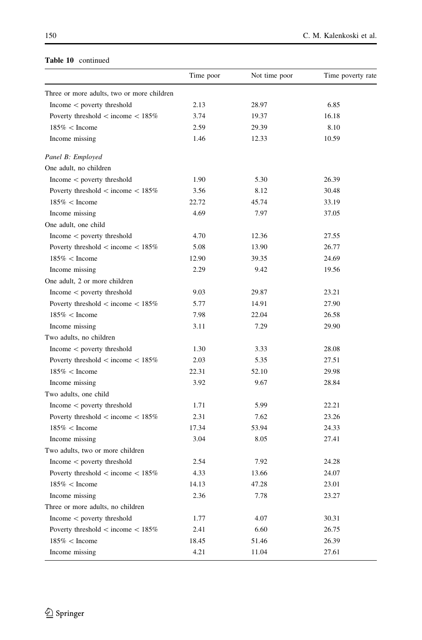### Table 10 continued

|                                                   | Time poor | Not time poor | Time poverty rate |
|---------------------------------------------------|-----------|---------------|-------------------|
| Three or more adults, two or more children        |           |               |                   |
| $Income <$ poverty threshold                      | 2.13      | 28.97         | 6.85              |
| Poverty threshold $\lt$ income $\lt$ 185%         | 3.74      | 19.37         | 16.18             |
| $185\% <$ Income                                  | 2.59      | 29.39         | 8.10              |
| Income missing                                    | 1.46      | 12.33         | 10.59             |
| Panel B: Employed                                 |           |               |                   |
| One adult, no children                            |           |               |                   |
| $Income <$ poverty threshold                      | 1.90      | 5.30          | 26.39             |
| Poverty threshold $\langle$ income $\langle$ 185% | 3.56      | 8.12          | 30.48             |
| $185\% <$ Income                                  | 22.72     | 45.74         | 33.19             |
| Income missing                                    | 4.69      | 7.97          | 37.05             |
| One adult, one child                              |           |               |                   |
| $Income <$ poverty threshold                      | 4.70      | 12.36         | 27.55             |
| Poverty threshold $\langle$ income $\langle$ 185% | 5.08      | 13.90         | 26.77             |
| $185\% <$ Income                                  | 12.90     | 39.35         | 24.69             |
| Income missing                                    | 2.29      | 9.42          | 19.56             |
| One adult, 2 or more children                     |           |               |                   |
| $Income <$ poverty threshold                      | 9.03      | 29.87         | 23.21             |
| Poverty threshold $<$ income $<$ 185%             | 5.77      | 14.91         | 27.90             |
| $185\% <$ Income                                  | 7.98      | 22.04         | 26.58             |
| Income missing                                    | 3.11      | 7.29          | 29.90             |
| Two adults, no children                           |           |               |                   |
| Income $<$ poverty threshold                      | 1.30      | 3.33          | 28.08             |
| Poverty threshold $\lt$ income $\lt$ 185%         | 2.03      | 5.35          | 27.51             |
| $185\% <$ Income                                  | 22.31     | 52.10         | 29.98             |
| Income missing                                    | 3.92      | 9.67          | 28.84             |
| Two adults, one child                             |           |               |                   |
| $Income <$ poverty threshold                      | 1.71      | 5.99          | 22.21             |
| Poverty threshold $\lt$ income $\lt$ 185%         | 2.31      | 7.62          | 23.26             |
| $185\% <$ Income                                  | 17.34     | 53.94         | 24.33             |
| Income missing                                    | 3.04      | 8.05          | 27.41             |
| Two adults, two or more children                  |           |               |                   |
| Income < poverty threshold                        | 2.54      | 7.92          | 24.28             |
| Poverty threshold $\langle$ income $\langle$ 185% | 4.33      | 13.66         | 24.07             |
| $185\% <$ Income                                  | 14.13     | 47.28         | 23.01             |
| Income missing                                    | 2.36      | 7.78          | 23.27             |
| Three or more adults, no children                 |           |               |                   |
| $Income <$ poverty threshold                      | 1.77      | 4.07          | 30.31             |
| Poverty threshold $\langle$ income $\langle$ 185% | 2.41      | 6.60          | 26.75             |
| $185\% <$ Income                                  | 18.45     | 51.46         | 26.39             |
| Income missing                                    | 4.21      | 11.04         | 27.61             |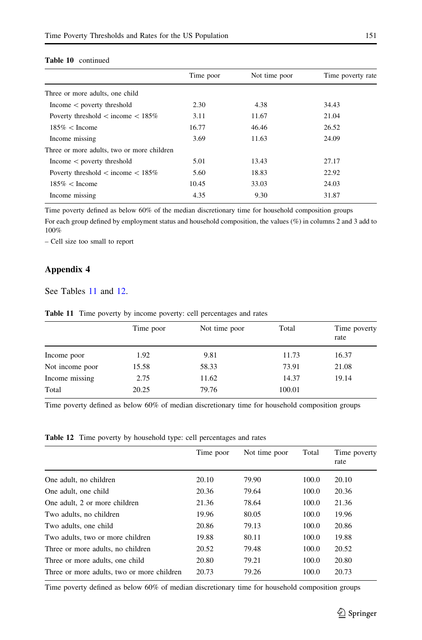|                                                   | Time poor | Not time poor | Time poverty rate |
|---------------------------------------------------|-----------|---------------|-------------------|
| Three or more adults, one child                   |           |               |                   |
| $Income <$ poverty threshold                      | 2.30      | 4.38          | 34.43             |
| Poverty threshold $\langle$ income $\langle$ 185% | 3.11      | 11.67         | 21.04             |
| $185\% <$ Income                                  | 16.77     | 46.46         | 26.52             |
| Income missing                                    | 3.69      | 11.63         | 24.09             |
| Three or more adults, two or more children        |           |               |                   |
| $Income <$ poverty threshold                      | 5.01      | 13.43         | 27.17             |
| Poverty threshold $\langle$ income $\langle$ 185% | 5.60      | 18.83         | 22.92             |
| $185\% <$ Income                                  | 10.45     | 33.03         | 24.03             |
| Income missing                                    | 4.35      | 9.30          | 31.87             |

#### <span id="page-22-0"></span>Table 10 continued

Time poverty defined as below 60% of the median discretionary time for household composition groups

For each group defined by employment status and household composition, the values (%) in columns 2 and 3 add to 100%

– Cell size too small to report

### Appendix 4

See Tables 11 and 12.

|  |  |  |  |  |  |  |  |  |  |  | <b>Table 11</b> Time poverty by income poverty: cell percentages and rate |  |  |
|--|--|--|--|--|--|--|--|--|--|--|---------------------------------------------------------------------------|--|--|
|--|--|--|--|--|--|--|--|--|--|--|---------------------------------------------------------------------------|--|--|

|                 | Time poor | Not time poor | Total  | Time poverty<br>rate |
|-----------------|-----------|---------------|--------|----------------------|
| Income poor     | 1.92      | 9.81          | 11.73  | 16.37                |
| Not income poor | 15.58     | 58.33         | 73.91  | 21.08                |
| Income missing  | 2.75      | 11.62         | 14.37  | 19.14                |
| Total           | 20.25     | 79.76         | 100.01 |                      |

Time poverty defined as below 60% of median discretionary time for household composition groups

|  |  |  |  |  |  |  |  | <b>Table 12</b> Time poverty by household type: cell percentages and rates |  |  |
|--|--|--|--|--|--|--|--|----------------------------------------------------------------------------|--|--|
|--|--|--|--|--|--|--|--|----------------------------------------------------------------------------|--|--|

|                                            | Time poor | Not time poor | Total | Time poverty<br>rate |
|--------------------------------------------|-----------|---------------|-------|----------------------|
| One adult, no children                     | 20.10     | 79.90         | 100.0 | 20.10                |
| One adult, one child                       | 20.36     | 79.64         | 100.0 | 20.36                |
| One adult, 2 or more children              | 21.36     | 78.64         | 100.0 | 21.36                |
| Two adults, no children                    | 19.96     | 80.05         | 100.0 | 19.96                |
| Two adults, one child                      | 20.86     | 79.13         | 100.0 | 20.86                |
| Two adults, two or more children           | 19.88     | 80.11         | 100.0 | 19.88                |
| Three or more adults, no children          | 20.52     | 79.48         | 100.0 | 20.52                |
| Three or more adults, one child            | 20.80     | 79.21         | 100.0 | 20.80                |
| Three or more adults, two or more children | 20.73     | 79.26         | 100.0 | 20.73                |

Time poverty defined as below 60% of median discretionary time for household composition groups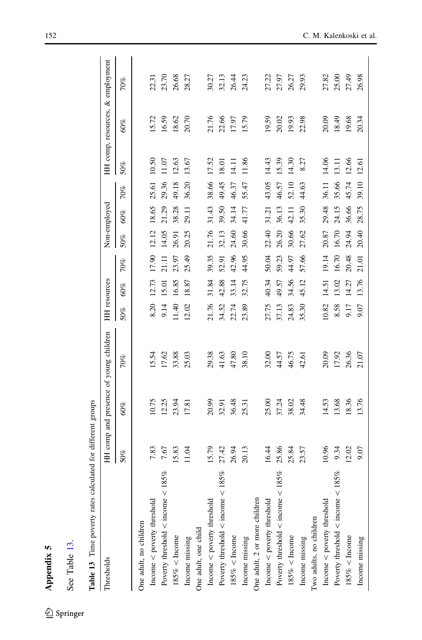<span id="page-23-0"></span>

| Thresholds                                |        |       | HH comp and presence of young children | HH resources |        |       |        | Non-employed |       | HH comp, resources, |       | & employment |
|-------------------------------------------|--------|-------|----------------------------------------|--------------|--------|-------|--------|--------------|-------|---------------------|-------|--------------|
|                                           | $50\%$ | 60%   | 70%                                    | 50%          | $60\%$ | 70%   | $50\%$ | 60%          | 70%   | $50\%$              | 60%   | 70%          |
| One adult, no children                    |        |       |                                        |              |        |       |        |              |       |                     |       |              |
| Income $<$ poverty threshold              | 7.83   | 10.75 | 15.54                                  | 8.20         | 12.73  | 17.90 | 12.12  | 18.65        | 25.61 | 10.50               | 15.72 | 22.31        |
| Poverty threshold $\lt$ income $\lt$ 185% | 7.67   | 12.25 | 17.62                                  | 9.14         | 15.01  | 21.11 | 14.05  | 21.29        | 29.36 | 11.07               | 16.59 | 23.70        |
| $185\% <$ Income                          | 15.83  | 23.94 | 33.88                                  | 11.40        | 16.85  | 23.97 | 26.91  | 38.28        | 49.18 | 12.63               | 18.62 | 26.68        |
| Income missing                            | 11.04  | 17.81 | 25.03                                  | 12.02        | 18.87  | 25.49 | 20.25  | 29.11        | 36.20 | 13.67               | 20.70 | 28.27        |
| One adult, one child                      |        |       |                                        |              |        |       |        |              |       |                     |       |              |
| Income $<$ poverty threshold              | 15.79  | 20.99 | 29.38                                  | 21.76        | 31.84  | 39.35 | 21.76  | 31.43        | 38.66 | 17.52               | 21.76 | 30.27        |
| Poverty threshold $<$ income $<185\%$     | 27.42  | 32.91 | 41.63                                  | 34.52        | 42.88  | 52.91 | 32.13  | 39.50        | 49.45 | 18.01               | 22.66 | 32.13        |
| $185\% <$ Income                          | 26.94  | 36.48 | 47.80                                  | 22.74        | 33.14  | 42.96 | 24.60  | 34.14        | 46.37 | 14.11               | 17.97 | 26.44        |
| Income missing                            | 20.13  | 25.31 | 38.10                                  | 23.89        | 32.75  | 44.95 | 30.66  | 41.77        | 55.47 | 11.86               | 15.79 | 24.23        |
| One adult, 2 or more children             |        |       |                                        |              |        |       |        |              |       |                     |       |              |
| Income $<$ poverty threshold              | 16.44  | 25.00 | 32.00                                  | 27.75        | 40.34  | 50.04 | 22.40  | 31.21        | 43.05 | 14.43               | 19.59 | 27.22        |
| Poverty threshold $<$ income $<185\%$     | 25.86  | 37.24 | 44.57                                  | 37.13        | 49.57  | 59.23 | 26.20  | 36.13        | 46.57 | 15.39               | 20.02 | 27.97        |
| $185\% <$ Income                          | 25.84  | 38.02 | 46.75                                  | 24.83        | 34.56  | 44.97 | 30.66  | 42.11        | 52.10 | 14.30               | 19.93 | 26.27        |
| Income missing                            | 23.57  | 34.48 | 42.61                                  | 35.30        | 45.12  | 57.66 | 27.62  | 35.30        | 44.63 | 8.27                | 22.98 | 29.93        |
| Two adults, no children                   |        |       |                                        |              |        |       |        |              |       |                     |       |              |
| Income $<$ poverty threshold              | 10.96  | 14.53 | 20.09                                  | 10.82        | 14.51  | 19.14 | 20.87  | 29.48        | 36.11 | 14.06               | 20.09 | 27.82        |
| Poverty threshold $\lt$ income $\lt$ 185% | 9.34   | 13.68 | 17.92                                  | 8.58         | 13.02  | 16.70 | 16.70  | 24.15        | 35.66 | 13.11               | 18.49 | 25.00        |
| $185\% <$ Income                          | 12.02  | 18.36 | 26.36                                  | 9.17         | 14.27  | 20.48 | 24.94  | 36.66        | 45.74 | 12.66               | 19.68 | 27.49        |
| Income missing                            | 9.07   | 13.76 | 21.07                                  | 0.07         | 13.76  | 21.01 | 20.40  | 28.75        | 39.10 | 12.61               | 20.34 | 26.98        |

Table 13 Time poverty rates calculated for different groups Table 13 Time poverty rates calculated for different groups

See Table 13.

See Table 13.

Appendix 5

Appendix 5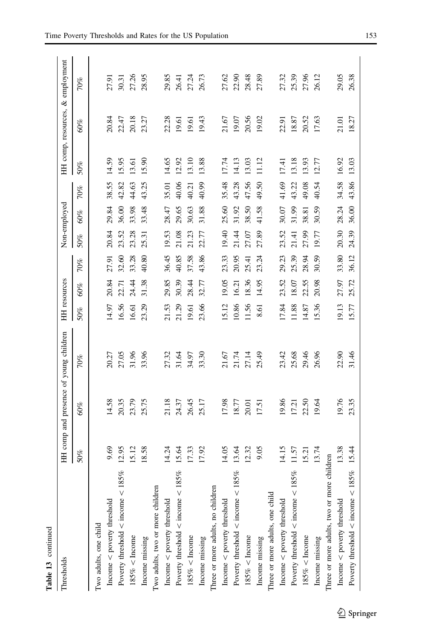| n<br>г      |  |
|-------------|--|
| ٢<br>í      |  |
| í<br>t<br>٠ |  |

| Thresholds                                |          |       | HH comp and presence of young children |       | <b>HH</b> resources |       |       | Non-employed |       |       | HH comp, resources, & employment |       |
|-------------------------------------------|----------|-------|----------------------------------------|-------|---------------------|-------|-------|--------------|-------|-------|----------------------------------|-------|
|                                           | $50\%$   | 60%   | 70%                                    | 50%   | 60%                 | 70%   | 50%   | 60%          | 70%   | 50%   | 60%                              | 70%   |
| Two adults, one child                     |          |       |                                        |       |                     |       |       |              |       |       |                                  |       |
| Income $<$ poverty threshold              | 9.69     | 14.58 | 20.27                                  | 14.97 | 20.84               | 27.91 | 20.84 | 29.84        | 38.55 | 14.59 | 20.84                            | 27.91 |
| Poverty threshold $<$ income $<185\%$     | 12.95    | 20.35 | 27.05                                  | 16.56 | 22.71               | 32.60 | 23.52 | 36.00        | 42.82 | 15.95 | 22.47                            | 30.31 |
| $185\% <$ Income                          | 15.12    | 23.79 | 31.96                                  | 16.61 | 24.44               | 33.28 | 23.28 | 33.98        | 44.63 | 13.61 | 20.18                            | 27.26 |
| Income missing                            | 18.58    | 25.75 | 33.96                                  | 23.29 | 31.38               | 40.80 | 25.31 | 33.48        | 43.25 | 15.90 | 23.27                            | 28.95 |
| Two adults, two or more children          |          |       |                                        |       |                     |       |       |              |       |       |                                  |       |
| Income $<$ poverty threshold              | 14.24    | 21.18 | 27.32                                  | 21.53 | 29.85               | 36.45 | 19.53 | 28.47        | 35.01 | 14.65 | 22.28                            | 29.85 |
| Poverty threshold $\lt$ income $\lt$ 185% | 15.64    | 24.37 | 31.64                                  | 21.29 | 30.39               | 40.85 | 21.08 | 29.65        | 40.06 | 12.92 | 19.61                            | 26.41 |
| $185\% <$ Income                          | 17.33    | 26.45 | 34.97                                  | 19.61 | 28.44               | 37.58 | 21.23 | 30.63        | 40.21 | 13.10 | 19.61                            | 27.24 |
| Income missing                            | 17.92    | 25.17 | 33.30                                  | 23.66 | 32.77               | 43.86 | 22.77 | 31.88        | 40.99 | 13.88 | 19.43                            | 26.73 |
| Three or more adults, no children         |          |       |                                        |       |                     |       |       |              |       |       |                                  |       |
| Income $<$ poverty threshold              | 14.05    | 17.98 | 21.67                                  | 15.12 | 19.05               | 23.33 | 19.40 | 25.60        | 35.48 | 17.74 | 21.67                            | 27.62 |
| Poverty threshold $\lt$ income $\lt$ 185% | 13.64    | 18.77 | 21.74                                  | 10.86 | 16.21               | 20.95 | 21.44 | 31.92        | 43.28 | 14.13 | 19.07                            | 22.90 |
| $185\% <$ Income                          | 12.32    | 20.01 | 27.14                                  | 11.56 | 18.36               | 25.41 | 27.07 | 38.50        | 47.56 | 13.03 | 20.56                            | 28.48 |
| Income missing                            | 9.05     | 17.51 | 25.49                                  | 8.61  | 14.95               | 23.24 | 27.89 | 41.58        | 49.50 | 11.12 | 19.02                            | 27.89 |
| Three or more adults, one child           |          |       |                                        |       |                     |       |       |              |       |       |                                  |       |
| Income $<$ poverty threshold              | 14.15    | 19.86 | 23.42                                  | 17.84 | 23.52               | 29.23 | 23.52 | 30.07        | 41.69 | 17.41 | 22.91                            | 27.32 |
| Poverty threshold $\lt$ income $\lt$ 185% | 11.57    | 17.21 | 25.68                                  | 11.88 | 18.07               | 25.39 | 21.41 | 31.99        | 43.22 | 13.18 | 18.87                            | 25.39 |
| $185\% <$ Income                          | 15.21    | 22.50 | 29.46                                  | 14.87 | 22.55               | 28.94 | 27.99 | 38.81        | 49.08 | 13.93 | 20.52                            | 27.96 |
| Income missing                            | 13.74    | 19.64 | 26.96                                  | 15.36 | 20.98               | 30.59 | 19.77 | 30.59        | 40.54 | 12.77 | 17.63                            | 26.12 |
| Three or more adults, two or more         | children |       |                                        |       |                     |       |       |              |       |       |                                  |       |
| Income $<$ poverty threshold              | 13.38    | 19.76 | 22.90                                  | 19.13 | 27.97               | 33.80 | 20.30 | 28.24        | 34.58 | 16.92 | 21.01                            | 29.05 |
| Poverty threshold $\lt$ income $\lt$ 185% | 15.44    | 23.35 | 31.46                                  | 15.77 | 25.72               | 36.12 | 24.39 | 36.00        | 43.86 | 13.03 | 18.27                            | 26.38 |
|                                           |          |       |                                        |       |                     |       |       |              |       |       |                                  |       |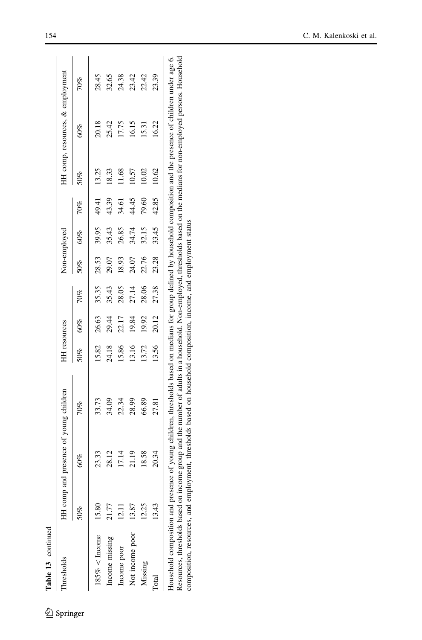| hresholds              |                   | HH comp and presence of young children |       | <b>HH</b> resources |       |       | Non-employed |       |       |       | HH comp, resources, & employment |       |
|------------------------|-------------------|----------------------------------------|-------|---------------------|-------|-------|--------------|-------|-------|-------|----------------------------------|-------|
|                        | 50%               | 60%                                    | 70%   | $50\%$              | 60%   | 70%   | 50%          | 60%   | 70%   | 50%   | 60%                              | 70%   |
| $.85\%$ < Income 15.80 |                   | 23.33                                  | 33.73 | 15.82               | 26.63 | 35.35 | 28.53        | 39.95 | 49.41 | 13.25 | 20.18                            | 28.45 |
| Income missing         | 21.77             | 28.12                                  | 34.09 | 24.18               | 29.44 | 35.43 | 29.07        | 35.43 | 43.39 | 18.33 | 25.42                            | 32.65 |
| Income poor            | $\frac{12.11}{2}$ | 17.14                                  | 22.34 | 15.86               | 22.17 | 28.05 | 18.93        | 26.85 | 34.61 | 1.68  | 17.75                            | 24.38 |
| Not income poor        | 13.87             | 21.19                                  | 28.99 | 13.16               | 19.84 | 27.14 | 24.07        | 34.74 | 44.45 | 10.57 | 16.15                            | 23.42 |
| Missing                | 12.25             | 18.58                                  | 66.89 | 13.72               | 19.92 | 28.06 | 22.76        | 32.15 | 79.60 | 10.02 | 15.31                            | 22.42 |
| `otal                  | 13.43             | 20.34                                  | 27.81 | 13.56               | 20.12 | 27.38 | 23.28        | 33.45 | 42.85 | 10.62 | 16.22                            | 23.39 |

Resources, thresholds based on income group and the number of adults in a household. Non-employed, thresholds based on the medians for non-employed persons. Household Resources, thresholds based on income group and the number of adults in a household. Non-employed, thresholds based on the medians for non-employed persons. Household composition, resources, and employment, thresholds based on household composition, income, and employment status composition, resources, and employment, thresholds based on household composition, income, and employment status